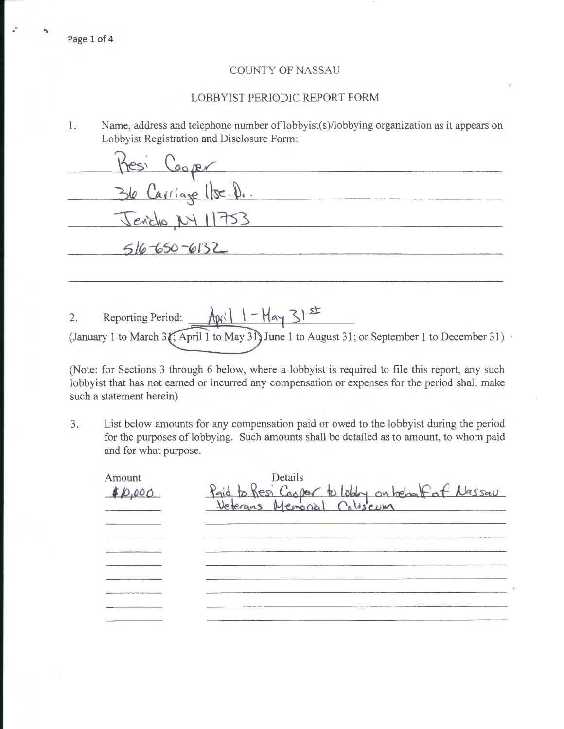## COUNTY OF NASSAU

## LOBBYIST PERIODIC REPORT FORM

1. Name, address and telephone number of lobbyist(s)/lobbying organization as it appears on Lobbyist Registration and Disclosure Form:

| <u>Mesi Cooper</u>  |  |
|---------------------|--|
| 36 Carriage Use. D. |  |
| Jendlo, NY 11753    |  |
| $516-650-6132$      |  |
|                     |  |

Reporting Period:  $\frac{\lambda p}{1-\mu q}$  31st  $2.$ (January 1 to March 3 (; April 1 to May 31) June 1 to August 31; or September 1 to December 31)

(Note: for Sections 3 through 6 below, where a lobbyist is required to file this report, any such lobbyist that has not earned or incurred any compensation or expenses for the period shall make such a statement herein)

3. List below amounts for any compensation paid or owed to the lobbyist during the period for the purposes of lobbying. Such amounts shall be detailed as to amount, to whom paid and for what purpose.

| Amount<br>\$10,000 | Details<br>Paid to Resi Cooper to lobby on behalf of Nassau<br>Veterans Memorial Coliscum |
|--------------------|-------------------------------------------------------------------------------------------|
|                    |                                                                                           |
|                    |                                                                                           |
|                    |                                                                                           |
|                    |                                                                                           |
|                    |                                                                                           |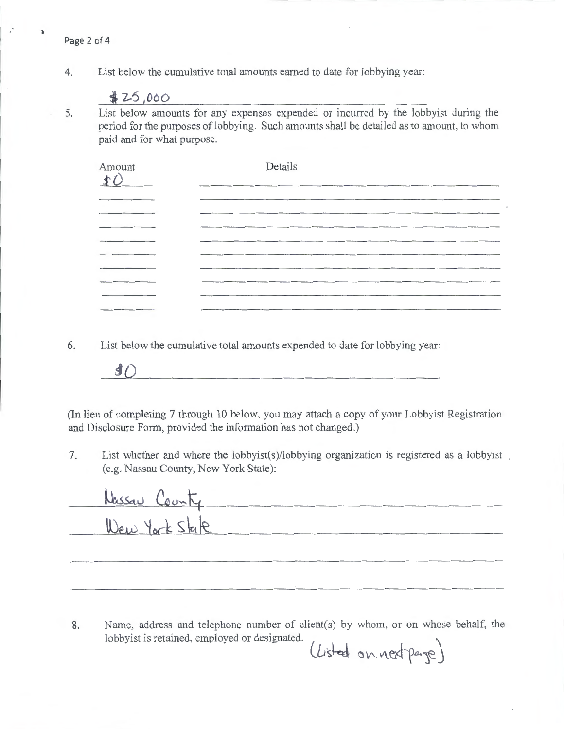4. List below the cumulative total amounts earned to date for lobbying year:

 $#25,000$ 

 $\mathbf{r}$ 

þ,

5. List below amounts for any expenses expended or incurred by the lobbyist during the period for the purposes of lobbying. Such amounts shall be detailed as to amount, to whom paid and for what purpose.

| Amount    | Details  |
|-----------|----------|
|           |          |
|           | ________ |
|           |          |
| _________ |          |
|           |          |
|           |          |
|           |          |
|           |          |

6. List below the cumulative total amounts expended to date for lobbying year:

 $\langle \hat{d} \rangle$ 

(In lieu of completing 7 through 10 below, you may attach a copy of your Lobbyist Registration and Disclosure Form, provided the information has not changed.)

7. List whether and where the lobbyist(s)/lobbying organization is registered as a lobbyist, (e.g. Nassau County, New York State):

| Nassau County  |  |
|----------------|--|
| Wew York State |  |
|                |  |
|                |  |

8. Name, address and telephone number of client(s) by whom, or on whose behalf, the lobbyist is retained, employed or designated.

 $(l$ *isted* on next page)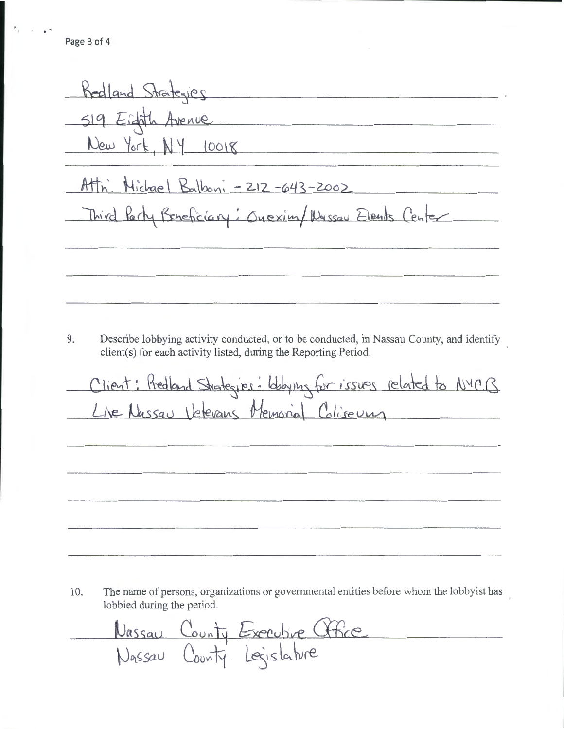. ,

Redland Strategies 519 Eighth Avenue New York,  $NY$  10018  $Attn$ . Michael Balboni - 212-643-2002 Third Party Beneficiary: Onexim/ Nussau Events Center 9. Describe lobbying activity conducted, or to be conducted, in Nassau County, and identify client(s) for each activity listed, during the Reporting Period. Client: Redland Strategies: Wobying for issues related to NYCB Live Nassau Vetevans Memorial Coliseury

10. The name of persons, organizations or governmental entities before whom the lobbyist has lobbied during the period.

Nassau County Executive Office